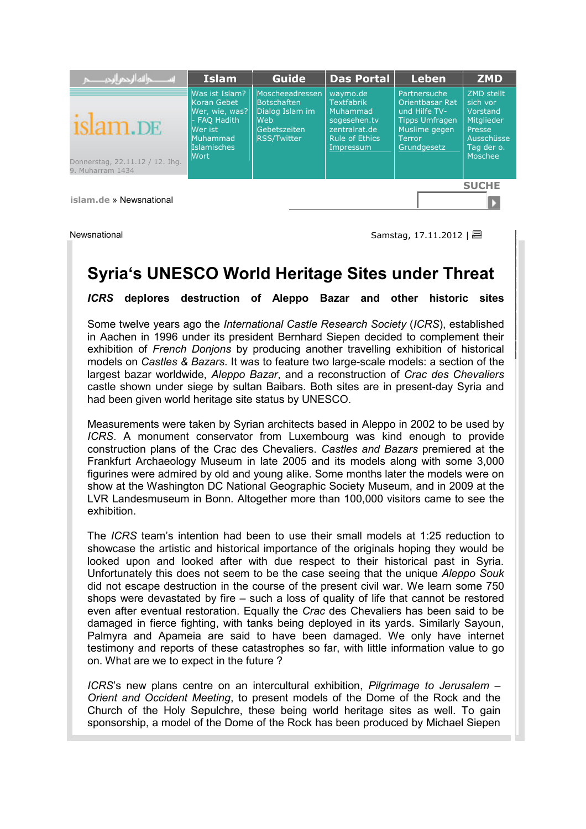

**islam.de** » Newsnational

Newsnational **Newsnational** Samstag, 17.11.2012 | *Drucken* Samstag, 17.11.2012 | *Drucken* Samstag, 17.11.2012 | *Drucken* Samstag, 17.11.2012 | *Drucken* Samstag, 17.11.2012 | *Drucken* Samstag, 17.11.2012 | *Drucken* S

**s o g e s e h e n . T V**

в

## **Syria's UNESCO World Heritage Sites under Threat**

*ICRS* **deplores destruction of Aleppo Bazar and other historic sites**

Some twelve years ago the *International Castle Research Society* (*ICRS*), established in Aachen in 1996 under its president Bernhard Siepen decided to complement their exhibition of *French Donjons* by producing another travelling exhibition of historical models on *Castles & Bazars*. It was to feature two large-scale models: a section of the largest bazar worldwide, *Aleppo Bazar*, and a reconstruction of *Crac des Chevaliers* castle shown under siege by sultan Baibars. Both sites are in present-day Syria and had been given world heritage site status by UNESCO.

Measurements were taken by Syrian architects based in Aleppo in 2002 to be used by *ICRS*. A monument conservator from Luxembourg was kind enough to provide construction plans of the Crac des Chevaliers. *Castles and Bazars* premiered at the Frankfurt Archaeology Museum in late 2005 and its models along with some 3,000 figurines were admired by old and young alike. Some months later the models were on show at the Washington DC National Geographic Society Museum, and in 2009 at the LVR Landesmuseum in Bonn. Altogether more than 100,000 visitors came to see the exhibition.

The *ICRS* team's intention had been to use their small models at 1:25 reduction to showcase the artistic and historical importance of the originals hoping they would be looked upon and looked after with due respect to their historical past in Syria. Unfortunately this does not seem to be the case seeing that the unique *Aleppo Souk* did not escape destruction in the course of the present civil war. We learn some 750 shops were devastated by fire – such a loss of quality of life that cannot be restored even after eventual restoration. Equally the *Crac* des Chevaliers has been said to be damaged in fierce fighting, with tanks being deployed in its yards. Similarly Sayoun, Palmyra and Apameia are said to have been damaged. We only have internet testimony and reports of these catastrophes so far, with little information value to go on. What are we to expect in the future ?

*ICRS*'s new plans centre on an intercultural exhibition, *Pilgrimage to Jerusalem – Orient and Occident Meeting*, to present models of the Dome of the Rock and the Church of the Holy Sepulchre, these being world heritage sites as well. To gain sponsorship, a model of the Dome of the Rock has been produced by Michael Siepen